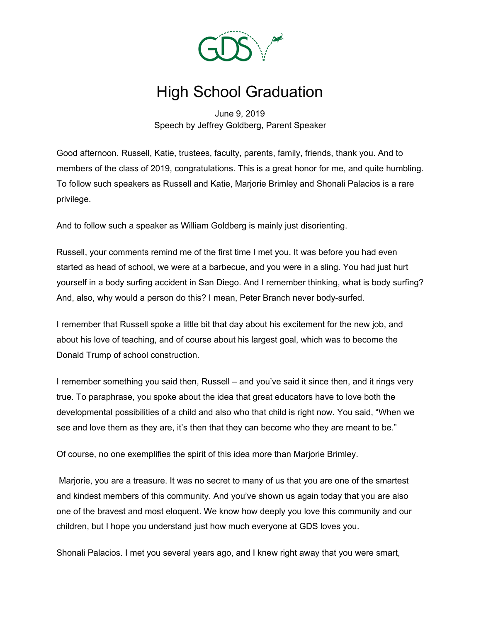

## High School Graduation

June 9, 2019 Speech by Jeffrey Goldberg, Parent Speaker

Good afternoon. Russell, Katie, trustees, faculty, parents, family, friends, thank you. And to members of the class of 2019, congratulations. This is a great honor for me, and quite humbling. To follow such speakers as Russell and Katie, Marjorie Brimley and Shonali Palacios is a rare privilege.

And to follow such a speaker as William Goldberg is mainly just disorienting.

Russell, your comments remind me of the first time I met you. It was before you had even started as head of school, we were at a barbecue, and you were in a sling. You had just hurt yourself in a body surfing accident in San Diego. And I remember thinking, what is body surfing? And, also, why would a person do this? I mean, Peter Branch never body-surfed.

I remember that Russell spoke a little bit that day about his excitement for the new job, and about his love of teaching, and of course about his largest goal, which was to become the Donald Trump of school construction.

I remember something you said then, Russell – and you've said it since then, and it rings very true. To paraphrase, you spoke about the idea that great educators have to love both the developmental possibilities of a child and also who that child is right now. You said, "When we see and love them as they are, it's then that they can become who they are meant to be."

Of course, no one exemplifies the spirit of this idea more than Marjorie Brimley.

Marjorie, you are a treasure. It was no secret to many of us that you are one of the smartest and kindest members of this community. And you've shown us again today that you are also one of the bravest and most eloquent. We know how deeply you love this community and our children, but I hope you understand just how much everyone at GDS loves you.

Shonali Palacios. I met you several years ago, and I knew right away that you were smart,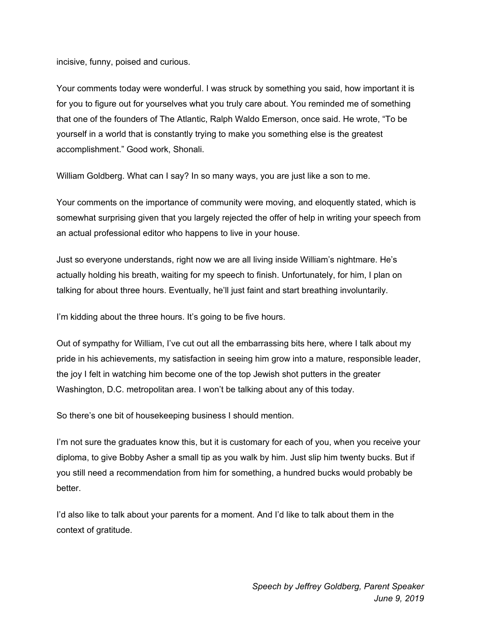incisive, funny, poised and curious.

Your comments today were wonderful. I was struck by something you said, how important it is for you to figure out for yourselves what you truly care about. You reminded me of something that one of the founders of The Atlantic, Ralph Waldo Emerson, once said. He wrote, "To be yourself in a world that is constantly trying to make you something else is the greatest accomplishment." Good work, Shonali.

William Goldberg. What can I say? In so many ways, you are just like a son to me.

Your comments on the importance of community were moving, and eloquently stated, which is somewhat surprising given that you largely rejected the offer of help in writing your speech from an actual professional editor who happens to live in your house.

Just so everyone understands, right now we are all living inside William's nightmare. He's actually holding his breath, waiting for my speech to finish. Unfortunately, for him, I plan on talking for about three hours. Eventually, he'll just faint and start breathing involuntarily.

I'm kidding about the three hours. It's going to be five hours.

Out of sympathy for William, I've cut out all the embarrassing bits here, where I talk about my pride in his achievements, my satisfaction in seeing him grow into a mature, responsible leader, the joy I felt in watching him become one of the top Jewish shot putters in the greater Washington, D.C. metropolitan area. I won't be talking about any of this today.

So there's one bit of housekeeping business I should mention.

I'm not sure the graduates know this, but it is customary for each of you, when you receive your diploma, to give Bobby Asher a small tip as you walk by him. Just slip him twenty bucks. But if you still need a recommendation from him for something, a hundred bucks would probably be better.

I'd also like to talk about your parents for a moment. And I'd like to talk about them in the context of gratitude.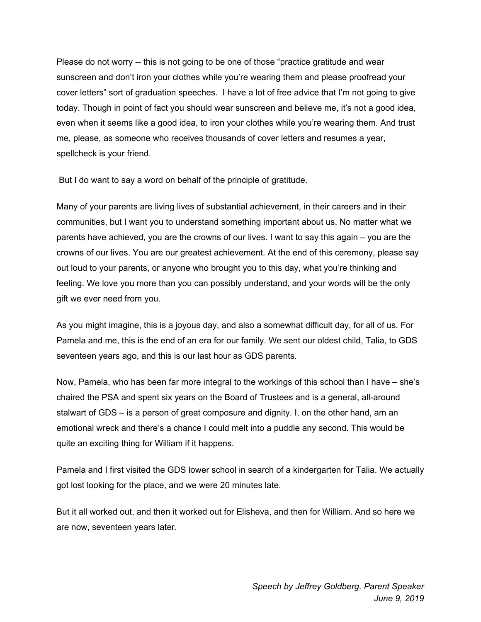Please do not worry -- this is not going to be one of those "practice gratitude and wear sunscreen and don't iron your clothes while you're wearing them and please proofread your cover letters" sort of graduation speeches. I have a lot of free advice that I'm not going to give today. Though in point of fact you should wear sunscreen and believe me, it's not a good idea, even when it seems like a good idea, to iron your clothes while you're wearing them. And trust me, please, as someone who receives thousands of cover letters and resumes a year, spellcheck is your friend.

But I do want to say a word on behalf of the principle of gratitude.

Many of your parents are living lives of substantial achievement, in their careers and in their communities, but I want you to understand something important about us. No matter what we parents have achieved, you are the crowns of our lives. I want to say this again – you are the crowns of our lives. You are our greatest achievement. At the end of this ceremony, please say out loud to your parents, or anyone who brought you to this day, what you're thinking and feeling. We love you more than you can possibly understand, and your words will be the only gift we ever need from you.

As you might imagine, this is a joyous day, and also a somewhat difficult day, for all of us. For Pamela and me, this is the end of an era for our family. We sent our oldest child, Talia, to GDS seventeen years ago, and this is our last hour as GDS parents.

Now, Pamela, who has been far more integral to the workings of this school than I have – she's chaired the PSA and spent six years on the Board of Trustees and is a general, all-around stalwart of GDS – is a person of great composure and dignity. I, on the other hand, am an emotional wreck and there's a chance I could melt into a puddle any second. This would be quite an exciting thing for William if it happens.

Pamela and I first visited the GDS lower school in search of a kindergarten for Talia. We actually got lost looking for the place, and we were 20 minutes late.

But it all worked out, and then it worked out for Elisheva, and then for William. And so here we are now, seventeen years later.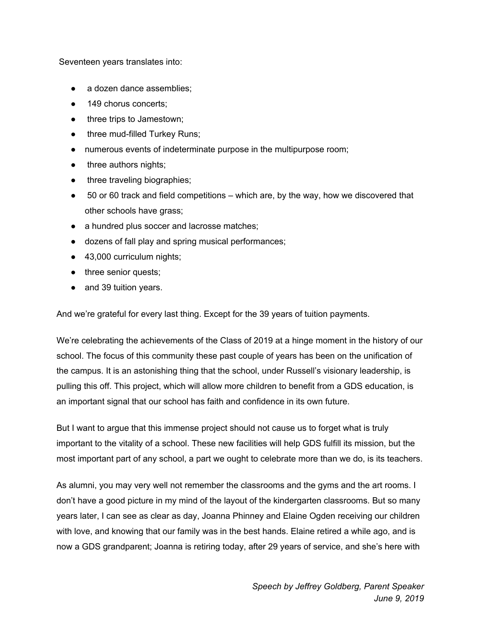Seventeen years translates into:

- a dozen dance assemblies;
- 149 chorus concerts:
- three trips to Jamestown;
- three mud-filled Turkey Runs;
- numerous events of indeterminate purpose in the multipurpose room;
- three authors nights;
- three traveling biographies;
- $\bullet$  50 or 60 track and field competitions which are, by the way, how we discovered that other schools have grass;
- a hundred plus soccer and lacrosse matches;
- dozens of fall play and spring musical performances;
- 43,000 curriculum nights;
- three senior quests;
- and 39 tuition years.

And we're grateful for every last thing. Except for the 39 years of tuition payments.

We're celebrating the achievements of the Class of 2019 at a hinge moment in the history of our school. The focus of this community these past couple of years has been on the unification of the campus. It is an astonishing thing that the school, under Russell's visionary leadership, is pulling this off. This project, which will allow more children to benefit from a GDS education, is an important signal that our school has faith and confidence in its own future.

But I want to argue that this immense project should not cause us to forget what is truly important to the vitality of a school. These new facilities will help GDS fulfill its mission, but the most important part of any school, a part we ought to celebrate more than we do, is its teachers.

As alumni, you may very well not remember the classrooms and the gyms and the art rooms. I don't have a good picture in my mind of the layout of the kindergarten classrooms. But so many years later, I can see as clear as day, Joanna Phinney and Elaine Ogden receiving our children with love, and knowing that our family was in the best hands. Elaine retired a while ago, and is now a GDS grandparent; Joanna is retiring today, after 29 years of service, and she's here with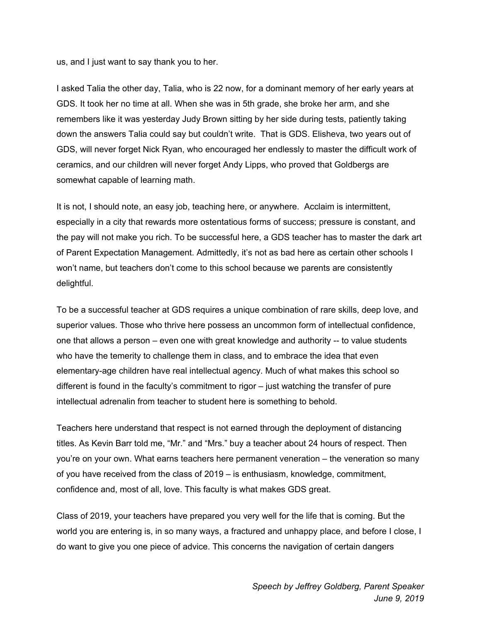us, and I just want to say thank you to her.

I asked Talia the other day, Talia, who is 22 now, for a dominant memory of her early years at GDS. It took her no time at all. When she was in 5th grade, she broke her arm, and she remembers like it was yesterday Judy Brown sitting by her side during tests, patiently taking down the answers Talia could say but couldn't write. That is GDS. Elisheva, two years out of GDS, will never forget Nick Ryan, who encouraged her endlessly to master the difficult work of ceramics, and our children will never forget Andy Lipps, who proved that Goldbergs are somewhat capable of learning math.

It is not, I should note, an easy job, teaching here, or anywhere. Acclaim is intermittent, especially in a city that rewards more ostentatious forms of success; pressure is constant, and the pay will not make you rich. To be successful here, a GDS teacher has to master the dark art of Parent Expectation Management. Admittedly, it's not as bad here as certain other schools I won't name, but teachers don't come to this school because we parents are consistently delightful.

To be a successful teacher at GDS requires a unique combination of rare skills, deep love, and superior values. Those who thrive here possess an uncommon form of intellectual confidence, one that allows a person – even one with great knowledge and authority -- to value students who have the temerity to challenge them in class, and to embrace the idea that even elementary-age children have real intellectual agency. Much of what makes this school so different is found in the faculty's commitment to rigor – just watching the transfer of pure intellectual adrenalin from teacher to student here is something to behold.

Teachers here understand that respect is not earned through the deployment of distancing titles. As Kevin Barr told me, "Mr." and "Mrs." buy a teacher about 24 hours of respect. Then you're on your own. What earns teachers here permanent veneration – the veneration so many of you have received from the class of 2019 – is enthusiasm, knowledge, commitment, confidence and, most of all, love. This faculty is what makes GDS great.

Class of 2019, your teachers have prepared you very well for the life that is coming. But the world you are entering is, in so many ways, a fractured and unhappy place, and before I close, I do want to give you one piece of advice. This concerns the navigation of certain dangers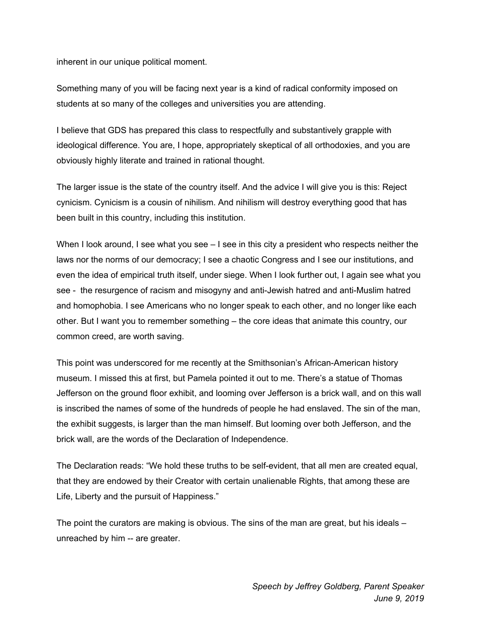inherent in our unique political moment.

Something many of you will be facing next year is a kind of radical conformity imposed on students at so many of the colleges and universities you are attending.

I believe that GDS has prepared this class to respectfully and substantively grapple with ideological difference. You are, I hope, appropriately skeptical of all orthodoxies, and you are obviously highly literate and trained in rational thought.

The larger issue is the state of the country itself. And the advice I will give you is this: Reject cynicism. Cynicism is a cousin of nihilism. And nihilism will destroy everything good that has been built in this country, including this institution.

When I look around, I see what you see  $-1$  see in this city a president who respects neither the laws nor the norms of our democracy; I see a chaotic Congress and I see our institutions, and even the idea of empirical truth itself, under siege. When I look further out, I again see what you see - the resurgence of racism and misogyny and anti-Jewish hatred and anti-Muslim hatred and homophobia. I see Americans who no longer speak to each other, and no longer like each other. But I want you to remember something – the core ideas that animate this country, our common creed, are worth saving.

This point was underscored for me recently at the Smithsonian's African-American history museum. I missed this at first, but Pamela pointed it out to me. There's a statue of Thomas Jefferson on the ground floor exhibit, and looming over Jefferson is a brick wall, and on this wall is inscribed the names of some of the hundreds of people he had enslaved. The sin of the man, the exhibit suggests, is larger than the man himself. But looming over both Jefferson, and the brick wall, are the words of the Declaration of Independence.

The Declaration reads: "We hold these truths to be self-evident, that all men are created equal, that they are endowed by their Creator with certain unalienable Rights, that among these are Life, Liberty and the pursuit of Happiness."

The point the curators are making is obvious. The sins of the man are great, but his ideals – unreached by him -- are greater.